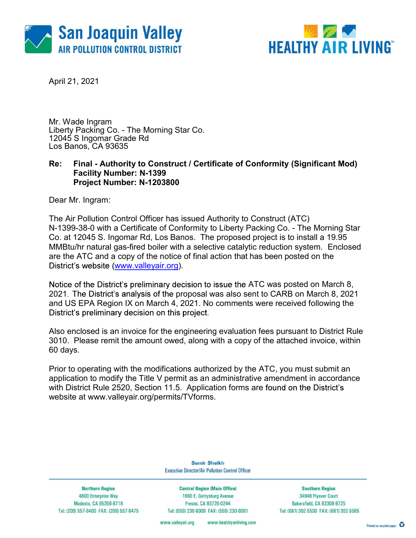



April 21, 2021

Mr. Wade Ingram Liberty Packing Co. - The Morning Star Co. 12045 S Ingomar Grade Rd Los Banos, CA 93635

### Re: Final - Authority to Construct / Certificate of Conformity (Significant Mod) Facility Number: N-1399 Project Number: N-1203800

Dear Mr. Ingram:

The Air Pollution Control Officer has issued Authority to Construct (ATC) N-1399-38-0 with a Certificate of Conformity to Liberty Packing Co. - The Morning Star Co. at 12045 S. Ingomar Rd, Los Banos. The proposed project is to install a 19.95 MMBtu/hr natural gas-fired boiler with a selective catalytic reduction system. Enclosed are the ATC and a copy of the notice of final action that has been posted on the District's website (www.valleyair.org).

Notice of the District's preliminary decision to issue the ATC was posted on March 8, 2021. The District's analysis of the proposal was also sent to CARB on March 8, 2021 and US EPA Region IX on March 4, 2021. No comments were received following the District's preliminary decision on this project.

Also enclosed is an invoice for the engineering evaluation fees pursuant to District Rule 3010. Please remit the amount owed, along with a copy of the attached invoice, within 60 days.

Prior to operating with the modifications authorized by the ATC, you must submit an application to modify the Title V permit as an administrative amendment in accordance with District Rule 2520, Section 11.5. Application forms are found on the District's website at www.valleyair.org/permits/TVforms.

> **Samir Sheikh Executive Director/Air Pollution Control Officer**

**Northern Region 4800 Enterprise Way** Modesto, CA 95356-8718 Tel: (209) 557-6400 FAX: (209) 557-6475

**Central Region (Main Office)** 1990 E. Gettysburg Avenue Fresno, CA 93726-0244 Tel: (559) 230-6000 FAX: (559) 230-6061

**Southern Region** 34946 Flyover Court Bakersfield, CA 93308-9725 Tel: (661) 392-5500 FAX: (661) 392-5585

www.valleyair.org www.healthyairliving.com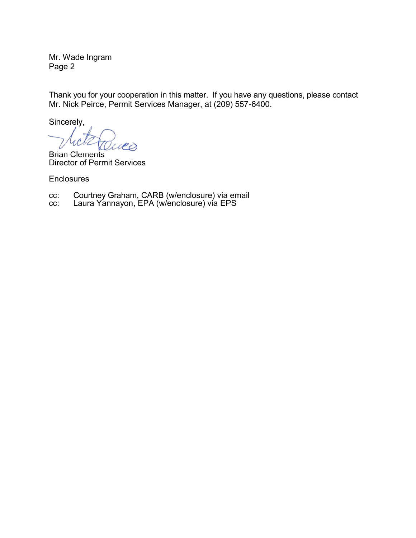Page 2

Mr. Wade Ingram<br>Page 2<br>Thank you for your cooperation in this matter. If you have any questions, p Thank you for your cooperation in this matter. If you have any questions, please contact Mr. Nick Peirce, Permit Services Manager, at (209) 557-6400. Mr. Wade Ingram<br>
Page 2<br>
Thank you for your cooperation in this matter. If you have any question<br>
Mr. Nick Peirce, Permit Services Manager, at (209) 557-6400.<br>
Sincerely,<br>
Sincerely,<br>
Courtney Graham, CARB (w/enclosure) vi Mr. Wade Ingram<br>
Page 2<br>
Thank you for your cooperation in this matter. If you have any question<br>
Mr. Nick Peirce, Permit Services Manager, at (209) 557-6400.<br>
Sincerely,<br>
Brian Clements<br>
Director of Permit Services<br>
Enclo

Sincerely,

Brian Clements Director of Permit Services

**Enclosures** 

- 
-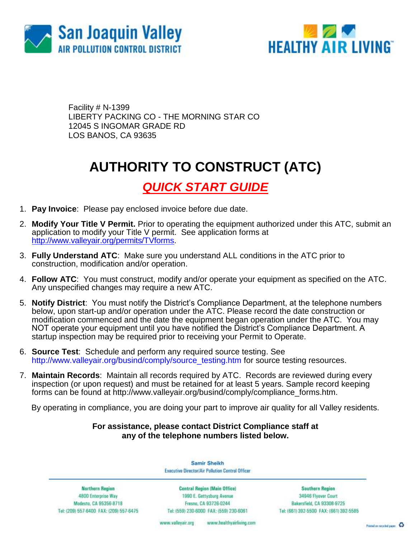



Facility # N-1399 LIBERTY PACKING CO - THE MORNING STAR CO 12045 S INGOMAR GRADE RD LOS BANOS, CA 93635

## **AUTHORITY TO CONSTRUCT (ATC)**

### *QUICK START GUIDE*

- 1. **Pay Invoice**: Please pay enclosed invoice before due date.
- 2. **Modify Your Title V Permit.** Prior to operating the equipment authorized under this ATC, submit an application to modify your Title V permit. See application forms at [http://www.valleyair.org/permits/TVforms.](http://www.valleyair.org/permits/TVforms)
- 3. **Fully Understand ATC**: Make sure you understand ALL conditions in the ATC prior to construction, modification and/or operation.
- 4. **Follow ATC**: You must construct, modify and/or operate your equipment as specified on the ATC. Any unspecified changes may require a new ATC.
- 5. **Notify District**: You must notify the District's Compliance Department, at the telephone numbers below, upon start-up and/or operation under the ATC. Please record the date construction or modification commenced and the date the equipment began operation under the ATC. You may NOT operate your equipment until you have notified the District's Compliance Department. A startup inspection may be required prior to receiving your Permit to Operate.
- 6. **Source Test**:Schedule and perform any required source testing. See [http://www.valleyair.org/busind/comply/source\\_testing.htm](http://www.valleyair.org/busind/comply/source_testing.htm) for source testing resources.
- 7. **Maintain Records**:Maintain all records required by ATC. Records are reviewed during every inspection (or upon request) and must be retained for at least 5 years. Sample record keeping forms can be found at http://www.valleyair.org/busind/comply/compliance\_forms.htm.

By operating in compliance, you are doing your part to improve air quality for all Valley residents.

### **For assistance, please contact District Compliance staff at any of the telephone numbers listed below.**

Samir Sheikh Executive Director/Air Pollution Control Officer

Northern Region 4800 Enterprise Way Modesto, CA 95356-8718 Tel: (209) 557-6400 FAX: (209) 557-6475

Central Region (Main Office) 1990 E. Gettysburg Avenue Fresna, CA 93726-0244 Tel: (559) 230-6000 FAX: (559) 230-6061

**Southern Region** 34946 Flyover Court Bakersfield, CA 93308-9725 Tel: (661) 392-5500 FAX: (661) 392-5585

www.bealthyairliving.com www.valleyair.org

Preced on recycled paper. 43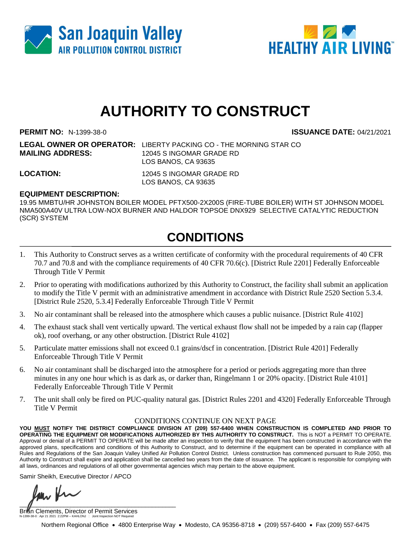



# **AUTHORITY TO CONSTRUCT**

**PERMIT NO:** N-1399-38-0 **ISSUANCE DATE:** 04/21/2021

**LEGAL OWNER OR OPERATOR:** LIBERTY PACKING CO - THE MORNING STAR CO **MAILING ADDRESS:** 12045 S INGOMAR GRADE RD LOS BANOS, CA 93635

**LOCATION:** 12045 S INGOMAR GRADE RD LOS BANOS, CA 93635

### **EQUIPMENT DESCRIPTION:**

19.95 MMBTU/HR JOHNSTON BOILER MODEL PFTX500-2X200S (FIRE-TUBE BOILER) WITH ST JOHNSON MODEL NMA500A40V ULTRA LOW-NOX BURNER AND HALDOR TOPSOE DNX929 SELECTIVE CATALYTIC REDUCTION (SCR) SYSTEM

## **CONDITIONS**

- 1. This Authority to Construct serves as a written certificate of conformity with the procedural requirements of 40 CFR 70.7 and 70.8 and with the compliance requirements of 40 CFR 70.6(c). [District Rule 2201] Federally Enforceable Through Title V Permit
- 2. Prior to operating with modifications authorized by this Authority to Construct, the facility shall submit an application to modify the Title V permit with an administrative amendment in accordance with District Rule 2520 Section 5.3.4. [District Rule 2520, 5.3.4] Federally Enforceable Through Title V Permit
- 3. No air contaminant shall be released into the atmosphere which causes a public nuisance. [District Rule 4102]
- 4. The exhaust stack shall vent vertically upward. The vertical exhaust flow shall not be impeded by a rain cap (flapper ok), roof overhang, or any other obstruction. [District Rule 4102]
- 5. Particulate matter emissions shall not exceed 0.1 grains/dscf in concentration. [District Rule 4201] Federally Enforceable Through Title V Permit
- 6. No air contaminant shall be discharged into the atmosphere for a period or periods aggregating more than three minutes in any one hour which is as dark as, or darker than, Ringelmann 1 or 20% opacity. [District Rule 4101] Federally Enforceable Through Title V Permit
- 7. The unit shall only be fired on PUC-quality natural gas. [District Rules 2201 and 4320] Federally Enforceable Through Title V Permit

#### CONDITIONS CONTINUE ON NEXT PAGE

**YOU MUST NOTIFY THE DISTRICT COMPLIANCE DIVISION AT (209) 557-6400 WHEN CONSTRUCTION IS COMPLETED AND PRIOR TO OPERATING THE EQUIPMENT OR MODIFICATIONS AUTHORIZED BY THIS AUTHORITY TO CONSTRUCT.** This is NOT a PERMIT TO OPERATE. Approval or denial of a PERMIT TO OPERATE will be made after an inspection to verify that the equipment has been constructed in accordance with the approved plans, specifications and conditions of this Authority to Construct, and to determine if the equipment can be operated in compliance with all Rules and Regulations of the San Joaquin Valley Unified Air Pollution Control District. Unless construction has commenced pursuant to Rule 2050, this Authority to Construct shall expire and application shall be cancelled two years from the date of issuance. The applicant is responsible for complying with all laws, ordinances and regulations of all other governmental agencies which may pertain to the above equipment.

Samir Sheikh, Executive Director / APCO

 $\blacksquare$ 

Brian Clements, Director of Permit Services N-1399-38-0 : Apr 21 2021 2:22PM -- KAHLONJ : Joint Inspection NOT Required

Northern Regional Office • 4800 Enterprise Way • Modesto, CA 95356-8718 • (209) 557-6400 • Fax (209) 557-6475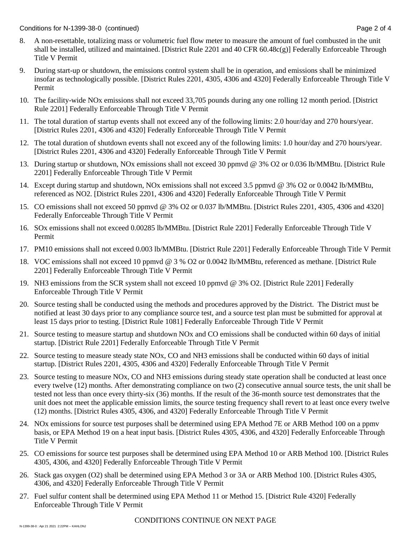Conditions for N-1399-38-0 (continued) **Page 2 of 4** Conditions for N-1399-38-0 (continued)

- 8. A non-resettable, totalizing mass or volumetric fuel flow meter to measure the amount of fuel combusted in the unit shall be installed, utilized and maintained. [District Rule 2201 and 40 CFR 60.48c(g)] Federally Enforceable Through Title V Permit
- 9. During start-up or shutdown, the emissions control system shall be in operation, and emissions shall be minimized insofar as technologically possible. [District Rules 2201, 4305, 4306 and 4320] Federally Enforceable Through Title V Permit
- 10. The facility-wide NOx emissions shall not exceed 33,705 pounds during any one rolling 12 month period. [District Rule 2201] Federally Enforceable Through Title V Permit
- 11. The total duration of startup events shall not exceed any of the following limits: 2.0 hour/day and 270 hours/year. [District Rules 2201, 4306 and 4320] Federally Enforceable Through Title V Permit
- 12. The total duration of shutdown events shall not exceed any of the following limits: 1.0 hour/day and 270 hours/year. [District Rules 2201, 4306 and 4320] Federally Enforceable Through Title V Permit
- 13. During startup or shutdown, NOx emissions shall not exceed 30 ppmvd @ 3% O2 or 0.036 lb/MMBtu. [District Rule 2201] Federally Enforceable Through Title V Permit
- 14. Except during startup and shutdown, NOx emissions shall not exceed 3.5 ppmvd @ 3% O2 or 0.0042 lb/MMBtu, referenced as NO2. [District Rules 2201, 4306 and 4320] Federally Enforceable Through Title V Permit
- 15. CO emissions shall not exceed 50 ppmvd @ 3% O2 or 0.037 lb/MMBtu. [District Rules 2201, 4305, 4306 and 4320] Federally Enforceable Through Title V Permit
- 16. SOx emissions shall not exceed 0.00285 lb/MMBtu. [District Rule 2201] Federally Enforceable Through Title V Permit
- 17. PM10 emissions shall not exceed 0.003 lb/MMBtu. [District Rule 2201] Federally Enforceable Through Title V Permit
- 18. VOC emissions shall not exceed 10 ppmvd @ 3 % O2 or 0.0042 lb/MMBtu, referenced as methane. [District Rule 2201] Federally Enforceable Through Title V Permit
- 19. NH3 emissions from the SCR system shall not exceed 10 ppmvd @ 3% O2. [District Rule 2201] Federally Enforceable Through Title V Permit
- 20. Source testing shall be conducted using the methods and procedures approved by the District. The District must be notified at least 30 days prior to any compliance source test, and a source test plan must be submitted for approval at least 15 days prior to testing. [District Rule 1081] Federally Enforceable Through Title V Permit
- 21. Source testing to measure startup and shutdown NOx and CO emissions shall be conducted within 60 days of initial startup. [District Rule 2201] Federally Enforceable Through Title V Permit
- 22. Source testing to measure steady state NOx, CO and NH3 emissions shall be conducted within 60 days of initial startup. [District Rules 2201, 4305, 4306 and 4320] Federally Enforceable Through Title V Permit
- 23. Source testing to measure NOx, CO and NH3 emissions during steady state operation shall be conducted at least once every twelve (12) months. After demonstrating compliance on two (2) consecutive annual source tests, the unit shall be tested not less than once every thirty-six (36) months. If the result of the 36-month source test demonstrates that the unit does not meet the applicable emission limits, the source testing frequency shall revert to at least once every twelve (12) months. [District Rules 4305, 4306, and 4320] Federally Enforceable Through Title V Permit
- 24. NOx emissions for source test purposes shall be determined using EPA Method 7E or ARB Method 100 on a ppmv basis, or EPA Method 19 on a heat input basis. [District Rules 4305, 4306, and 4320] Federally Enforceable Through Title V Permit
- 25. CO emissions for source test purposes shall be determined using EPA Method 10 or ARB Method 100. [District Rules 4305, 4306, and 4320] Federally Enforceable Through Title V Permit
- 26. Stack gas oxygen (O2) shall be determined using EPA Method 3 or 3A or ARB Method 100. [District Rules 4305, 4306, and 4320] Federally Enforceable Through Title V Permit
- 27. Fuel sulfur content shall be determined using EPA Method 11 or Method 15. [District Rule 4320] Federally Enforceable Through Title V Permit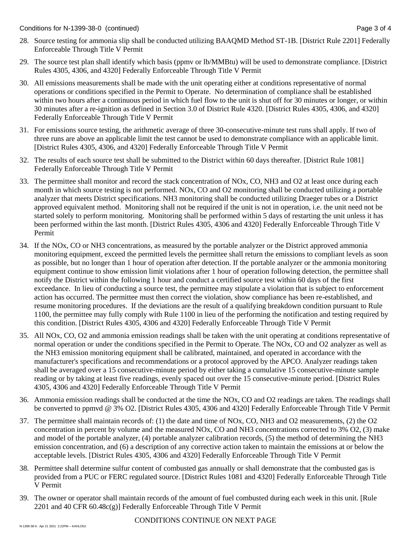- 28. Source testing for ammonia slip shall be conducted utilizing BAAQMD Method ST-1B. [District Rule 2201] Federally Enforceable Through Title V Permit
- 29. The source test plan shall identify which basis (ppmv or lb/MMBtu) will be used to demonstrate compliance. [District Rules 4305, 4306, and 4320] Federally Enforceable Through Title V Permit
- 30. All emissions measurements shall be made with the unit operating either at conditions representative of normal operations or conditions specified in the Permit to Operate. No determination of compliance shall be established within two hours after a continuous period in which fuel flow to the unit is shut off for 30 minutes or longer, or within 30 minutes after a re-ignition as defined in Section 3.0 of District Rule 4320. [District Rules 4305, 4306, and 4320] Federally Enforceable Through Title V Permit
- 31. For emissions source testing, the arithmetic average of three 30-consecutive-minute test runs shall apply. If two of three runs are above an applicable limit the test cannot be used to demonstrate compliance with an applicable limit. [District Rules 4305, 4306, and 4320] Federally Enforceable Through Title V Permit
- 32. The results of each source test shall be submitted to the District within 60 days thereafter. [District Rule 1081] Federally Enforceable Through Title V Permit
- 33. The permittee shall monitor and record the stack concentration of NOx, CO, NH3 and O2 at least once during each month in which source testing is not performed. NOx, CO and O2 monitoring shall be conducted utilizing a portable analyzer that meets District specifications. NH3 monitoring shall be conducted utilizing Draeger tubes or a District approved equivalent method. Monitoring shall not be required if the unit is not in operation, i.e. the unit need not be started solely to perform monitoring. Monitoring shall be performed within 5 days of restarting the unit unless it has been performed within the last month. [District Rules 4305, 4306 and 4320] Federally Enforceable Through Title V Permit
- 34. If the NOx, CO or NH3 concentrations, as measured by the portable analyzer or the District approved ammonia monitoring equipment, exceed the permitted levels the permittee shall return the emissions to compliant levels as soon as possible, but no longer than 1 hour of operation after detection. If the portable analyzer or the ammonia monitoring equipment continue to show emission limit violations after 1 hour of operation following detection, the permittee shall notify the District within the following 1 hour and conduct a certified source test within 60 days of the first exceedance. In lieu of conducting a source test, the permittee may stipulate a violation that is subject to enforcement action has occurred. The permittee must then correct the violation, show compliance has been re-established, and resume monitoring procedures. If the deviations are the result of a qualifying breakdown condition pursuant to Rule 1100, the permittee may fully comply with Rule 1100 in lieu of the performing the notification and testing required by this condition. [District Rules 4305, 4306 and 4320] Federally Enforceable Through Title V Permit
- 35. All NOx, CO, O2 and ammonia emission readings shall be taken with the unit operating at conditions representative of normal operation or under the conditions specified in the Permit to Operate. The NOx, CO and O2 analyzer as well as the NH3 emission monitoring equipment shall be calibrated, maintained, and operated in accordance with the manufacturer's specifications and recommendations or a protocol approved by the APCO. Analyzer readings taken shall be averaged over a 15 consecutive-minute period by either taking a cumulative 15 consecutive-minute sample reading or by taking at least five readings, evenly spaced out over the 15 consecutive-minute period. [District Rules 4305, 4306 and 4320] Federally Enforceable Through Title V Permit
- 36. Ammonia emission readings shall be conducted at the time the NOx, CO and O2 readings are taken. The readings shall be converted to ppmvd @ 3% O2. [District Rules 4305, 4306 and 4320] Federally Enforceable Through Title V Permit
- 37. The permittee shall maintain records of: (1) the date and time of NOx, CO, NH3 and O2 measurements, (2) the O2 concentration in percent by volume and the measured NOx, CO and NH3 concentrations corrected to 3% O2, (3) make and model of the portable analyzer, (4) portable analyzer calibration records, (5) the method of determining the NH3 emission concentration, and (6) a description of any corrective action taken to maintain the emissions at or below the acceptable levels. [District Rules 4305, 4306 and 4320] Federally Enforceable Through Title V Permit
- 38. Permittee shall determine sulfur content of combusted gas annually or shall demonstrate that the combusted gas is provided from a PUC or FERC regulated source. [District Rules 1081 and 4320] Federally Enforceable Through Title V Permit
- 39. The owner or operator shall maintain records of the amount of fuel combusted during each week in this unit. [Rule 2201 and 40 CFR  $60.48c(g)$ ] Federally Enforceable Through Title V Permit